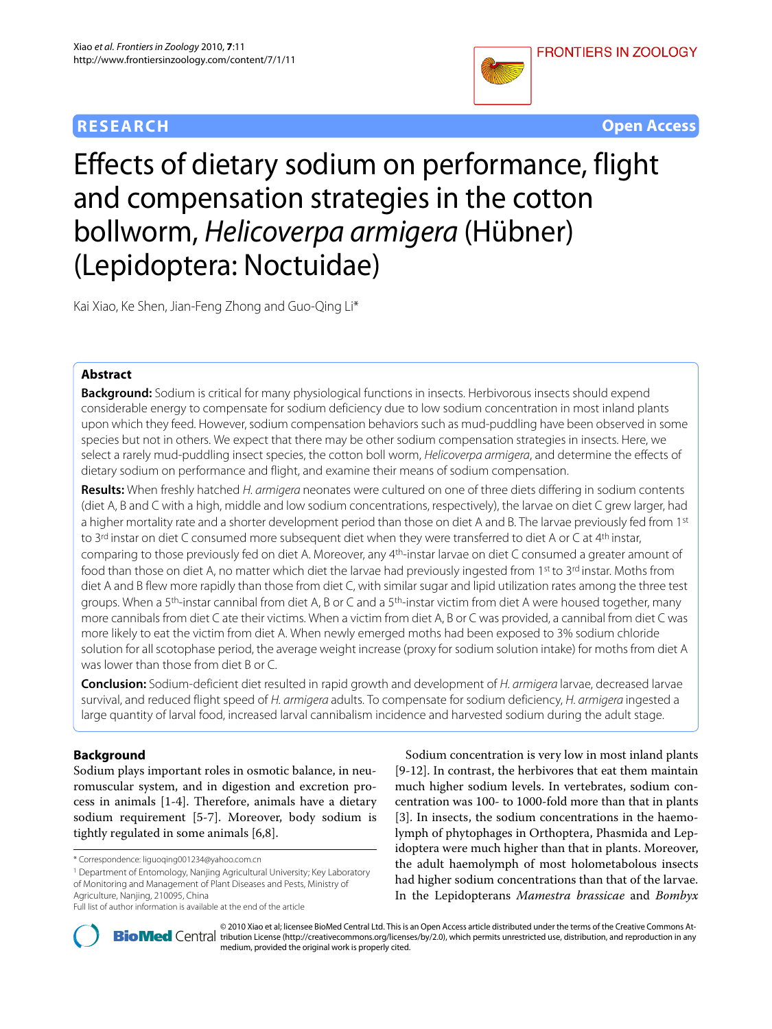# **RESEARCH Open Access**



# Effects of dietary sodium on performance, flight and compensation strategies in the cotton bollworm, Helicoverpa armigera (Hübner) (Lepidoptera: Noctuidae)

Kai Xiao, Ke Shen, Jian-Feng Zhong and Guo-Qing Li\*

# **Abstract**

**Background:** Sodium is critical for many physiological functions in insects. Herbivorous insects should expend considerable energy to compensate for sodium deficiency due to low sodium concentration in most inland plants upon which they feed. However, sodium compensation behaviors such as mud-puddling have been observed in some species but not in others. We expect that there may be other sodium compensation strategies in insects. Here, we select a rarely mud-puddling insect species, the cotton boll worm, Helicoverpa armigera, and determine the effects of dietary sodium on performance and flight, and examine their means of sodium compensation.

**Results:** When freshly hatched H. armigera neonates were cultured on one of three diets differing in sodium contents (diet A, B and C with a high, middle and low sodium concentrations, respectively), the larvae on diet C grew larger, had a higher mortality rate and a shorter development period than those on diet A and B. The larvae previously fed from 1st to 3<sup>rd</sup> instar on diet C consumed more subsequent diet when they were transferred to diet A or C at 4<sup>th</sup> instar, comparing to those previously fed on diet A. Moreover, any 4th-instar larvae on diet C consumed a greater amount of food than those on diet A, no matter which diet the larvae had previously ingested from 1st to 3rd instar. Moths from diet A and B flew more rapidly than those from diet C, with similar sugar and lipid utilization rates among the three test groups. When a 5<sup>th</sup>-instar cannibal from diet A, B or C and a 5<sup>th</sup>-instar victim from diet A were housed together, many more cannibals from diet C ate their victims. When a victim from diet A, B or C was provided, a cannibal from diet C was more likely to eat the victim from diet A. When newly emerged moths had been exposed to 3% sodium chloride solution for all scotophase period, the average weight increase (proxy for sodium solution intake) for moths from diet A was lower than those from diet B or C.

**Conclusion:** Sodium-deficient diet resulted in rapid growth and development of H. armigera larvae, decreased larvae survival, and reduced flight speed of H. armigera adults. To compensate for sodium deficiency, H. armigera ingested a large quantity of larval food, increased larval cannibalism incidence and harvested sodium during the adult stage.

# **Background**

Sodium plays important roles in osmotic balance, in neuromuscular system, and in digestion and excretion process in animals [\[1-](#page-6-0)[4](#page-6-1)]. Therefore, animals have a dietary sodium requirement [[5-](#page-6-2)[7](#page-7-0)]. Moreover, body sodium is tightly regulated in some animals [\[6](#page-7-1)[,8](#page-7-2)].

1 Department of Entomology, Nanjing Agricultural University; Key Laboratory of Monitoring and Management of Plant Diseases and Pests, Ministry of Agriculture, Nanjing, 210095, China

Sodium concentration is very low in most inland plants [[9](#page-7-3)[-12](#page-7-4)]. In contrast, the herbivores that eat them maintain much higher sodium levels. In vertebrates, sodium concentration was 100- to 1000-fold more than that in plants [[3\]](#page-6-3). In insects, the sodium concentrations in the haemolymph of phytophages in Orthoptera, Phasmida and Lepidoptera were much higher than that in plants. Moreover, the adult haemolymph of most holometabolous insects had higher sodium concentrations than that of the larvae. In the Lepidopterans *Mamestra brassicae* and *Bombyx*



© 2010 Xiao et al; licensee [BioMed](http://www.biomedcentral.com/) Central Ltd. This is an Open Access article distributed under the terms of the Creative Commons At-<br>Bio Med Central tribution License (http://creativecommons.org/licenses/by/2.0), which medium, provided the original work is properly cited.

<sup>\*</sup> Correspondence: liguoqing001234@yahoo.com.cn

Full list of author information is available at the end of the article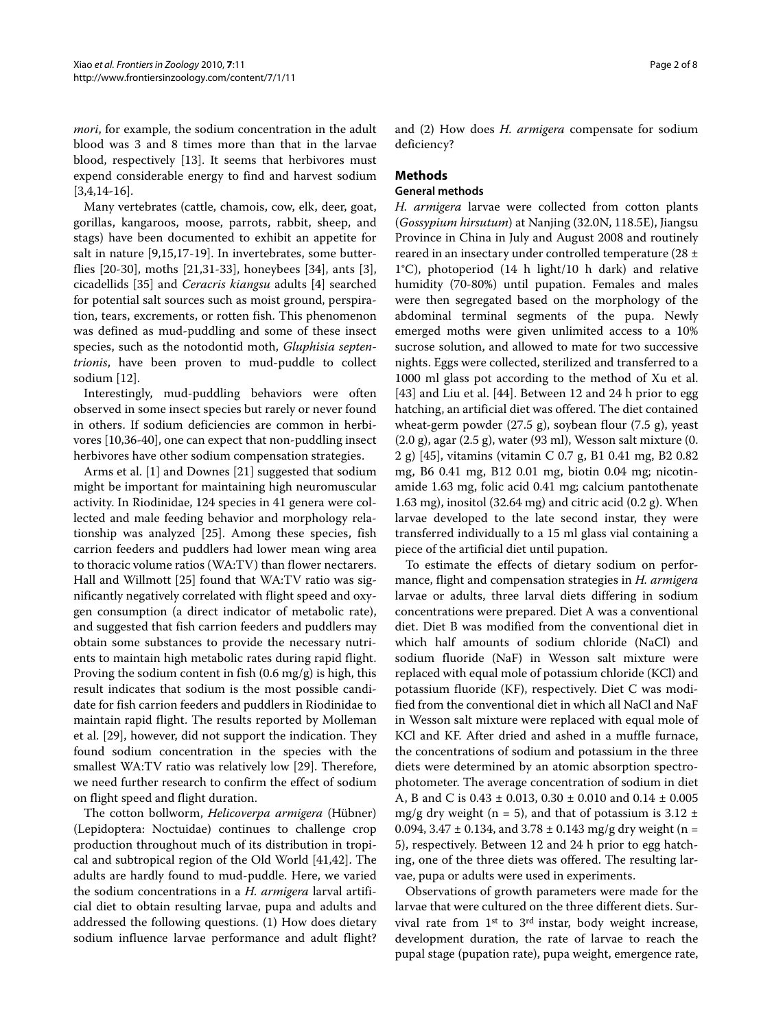*mori*, for example, the sodium concentration in the adult blood was 3 and 8 times more than that in the larvae blood, respectively [[13](#page-7-5)]. It seems that herbivores must expend considerable energy to find and harvest sodium [[3,](#page-6-3)[4](#page-6-1)[,14-](#page-7-6)[16](#page-7-7)].

Many vertebrates (cattle, chamois, cow, elk, deer, goat, gorillas, kangaroos, moose, parrots, rabbit, sheep, and stags) have been documented to exhibit an appetite for salt in nature [\[9](#page-7-3)[,15](#page-7-8)[,17](#page-7-9)-[19](#page-7-10)]. In invertebrates, some butterflies [[20-](#page-7-11)[30](#page-7-12)], moths [\[21](#page-7-13)[,31](#page-7-14)-[33\]](#page-7-15), honeybees [\[34\]](#page-7-16), ants [\[3](#page-6-3)], cicadellids [[35\]](#page-7-17) and *Ceracris kiangsu* adults [[4\]](#page-6-1) searched for potential salt sources such as moist ground, perspiration, tears, excrements, or rotten fish. This phenomenon was defined as mud-puddling and some of these insect species, such as the notodontid moth, *Gluphisia septentrionis*, have been proven to mud-puddle to collect sodium [[12\]](#page-7-4).

Interestingly, mud-puddling behaviors were often observed in some insect species but rarely or never found in others. If sodium deficiencies are common in herbivores [[10,](#page-7-18)[36-](#page-7-19)[40\]](#page-7-20), one can expect that non-puddling insect herbivores have other sodium compensation strategies.

Arms et al. [[1](#page-6-0)] and Downes [[21\]](#page-7-13) suggested that sodium might be important for maintaining high neuromuscular activity. In Riodinidae, 124 species in 41 genera were collected and male feeding behavior and morphology relationship was analyzed [\[25](#page-7-21)]. Among these species, fish carrion feeders and puddlers had lower mean wing area to thoracic volume ratios (WA:TV) than flower nectarers. Hall and Willmott [\[25\]](#page-7-21) found that WA:TV ratio was significantly negatively correlated with flight speed and oxygen consumption (a direct indicator of metabolic rate), and suggested that fish carrion feeders and puddlers may obtain some substances to provide the necessary nutrients to maintain high metabolic rates during rapid flight. Proving the sodium content in fish (0.6 mg/g) is high, this result indicates that sodium is the most possible candidate for fish carrion feeders and puddlers in Riodinidae to maintain rapid flight. The results reported by Molleman et al. [\[29](#page-7-22)], however, did not support the indication. They found sodium concentration in the species with the smallest WA:TV ratio was relatively low [\[29](#page-7-22)]. Therefore, we need further research to confirm the effect of sodium on flight speed and flight duration.

The cotton bollworm, *Helicoverpa armigera* (Hübner) (Lepidoptera: Noctuidae) continues to challenge crop production throughout much of its distribution in tropical and subtropical region of the Old World [\[41](#page-7-23)[,42\]](#page-7-24). The adults are hardly found to mud-puddle. Here, we varied the sodium concentrations in a *H. armigera* larval artificial diet to obtain resulting larvae, pupa and adults and addressed the following questions. (1) How does dietary sodium influence larvae performance and adult flight? and (2) How does *H. armigera* compensate for sodium deficiency?

## **Methods**

#### **General methods**

*H. armigera* larvae were collected from cotton plants (*Gossypium hirsutum*) at Nanjing (32.0N, 118.5E), Jiangsu Province in China in July and August 2008 and routinely reared in an insectary under controlled temperature (28 ± 1°C), photoperiod (14 h light/10 h dark) and relative humidity (70-80%) until pupation. Females and males were then segregated based on the morphology of the abdominal terminal segments of the pupa. Newly emerged moths were given unlimited access to a 10% sucrose solution, and allowed to mate for two successive nights. Eggs were collected, sterilized and transferred to a 1000 ml glass pot according to the method of Xu et al. [[43\]](#page-7-25) and Liu et al. [\[44](#page-7-26)]. Between 12 and 24 h prior to egg hatching, an artificial diet was offered. The diet contained wheat-germ powder (27.5 g), soybean flour (7.5 g), yeast (2.0 g), agar (2.5 g), water (93 ml), Wesson salt mixture (0. 2 g) [[45\]](#page-7-27), vitamins (vitamin C 0.7 g, B1 0.41 mg, B2 0.82 mg, B6 0.41 mg, B12 0.01 mg, biotin 0.04 mg; nicotinamide 1.63 mg, folic acid 0.41 mg; calcium pantothenate 1.63 mg), inositol  $(32.64 \text{ mg})$  and citric acid  $(0.2 \text{ g})$ . When larvae developed to the late second instar, they were transferred individually to a 15 ml glass vial containing a piece of the artificial diet until pupation.

To estimate the effects of dietary sodium on performance, flight and compensation strategies in *H. armigera* larvae or adults, three larval diets differing in sodium concentrations were prepared. Diet A was a conventional diet. Diet B was modified from the conventional diet in which half amounts of sodium chloride (NaCl) and sodium fluoride (NaF) in Wesson salt mixture were replaced with equal mole of potassium chloride (KCl) and potassium fluoride (KF), respectively. Diet C was modified from the conventional diet in which all NaCl and NaF in Wesson salt mixture were replaced with equal mole of KCl and KF. After dried and ashed in a muffle furnace, the concentrations of sodium and potassium in the three diets were determined by an atomic absorption spectrophotometer. The average concentration of sodium in diet A, B and C is 0.43 ± 0.013, 0.30 ± 0.010 and 0.14 ± 0.005 mg/g dry weight (n = 5), and that of potassium is  $3.12 \pm$ 0.094,  $3.47 \pm 0.134$ , and  $3.78 \pm 0.143$  mg/g dry weight (n = 5), respectively. Between 12 and 24 h prior to egg hatching, one of the three diets was offered. The resulting larvae, pupa or adults were used in experiments.

Observations of growth parameters were made for the larvae that were cultured on the three different diets. Survival rate from 1st to 3rd instar, body weight increase, development duration, the rate of larvae to reach the pupal stage (pupation rate), pupa weight, emergence rate,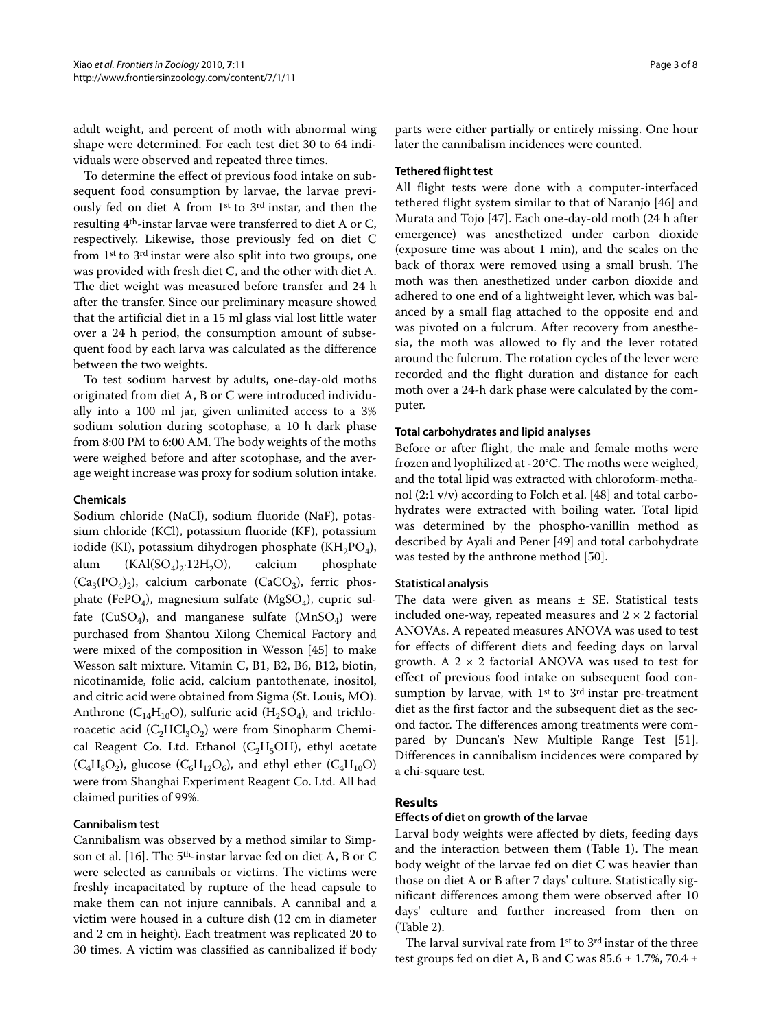adult weight, and percent of moth with abnormal wing shape were determined. For each test diet 30 to 64 individuals were observed and repeated three times.

To determine the effect of previous food intake on subsequent food consumption by larvae, the larvae previously fed on diet A from 1st to 3rd instar, and then the resulting 4th-instar larvae were transferred to diet A or C, respectively. Likewise, those previously fed on diet C from 1st to 3rd instar were also split into two groups, one was provided with fresh diet C, and the other with diet A. The diet weight was measured before transfer and 24 h after the transfer. Since our preliminary measure showed that the artificial diet in a 15 ml glass vial lost little water over a 24 h period, the consumption amount of subsequent food by each larva was calculated as the difference between the two weights.

To test sodium harvest by adults, one-day-old moths originated from diet A, B or C were introduced individually into a 100 ml jar, given unlimited access to a 3% sodium solution during scotophase, a 10 h dark phase from 8:00 PM to 6:00 AM. The body weights of the moths were weighed before and after scotophase, and the average weight increase was proxy for sodium solution intake.

#### **Chemicals**

Sodium chloride (NaCl), sodium fluoride (NaF), potassium chloride (KCl), potassium fluoride (KF), potassium iodide (KI), potassium dihydrogen phosphate (KH<sub>2</sub>PO<sub>4</sub>), alum  $(KAI(SO<sub>A</sub>)<sub>2</sub>·12H<sub>2</sub>O)$ , calcium phosphate  $(Ca_3(PO_4)_2)$ , calcium carbonate  $(CaCO_3)$ , ferric phosphate (FePO<sub>4</sub>), magnesium sulfate (MgSO<sub>4</sub>), cupric sulfate (CuSO<sub>4</sub>), and manganese sulfate (MnSO<sub>4</sub>) were purchased from Shantou Xilong Chemical Factory and were mixed of the composition in Wesson [[45](#page-7-27)] to make Wesson salt mixture. Vitamin C, B1, B2, B6, B12, biotin, nicotinamide, folic acid, calcium pantothenate, inositol, and citric acid were obtained from Sigma (St. Louis, MO). Anthrone ( $C_{14}H_{10}O$ ), sulfuric acid ( $H_2SO_4$ ), and trichloroacetic acid  $(C_2HC_3O_2)$  were from Sinopharm Chemical Reagent Co. Ltd. Ethanol ( $C_2H_5OH$ ), ethyl acetate  $(C_4H_8O_2)$ , glucose  $(C_6H_{12}O_6)$ , and ethyl ether  $(C_4H_{10}O)$ were from Shanghai Experiment Reagent Co. Ltd. All had claimed purities of 99%.

## **Cannibalism test**

Cannibalism was observed by a method similar to Simpson et al. [\[16](#page-7-7)]. The 5th-instar larvae fed on diet A, B or C were selected as cannibals or victims. The victims were freshly incapacitated by rupture of the head capsule to make them can not injure cannibals. A cannibal and a victim were housed in a culture dish (12 cm in diameter and 2 cm in height). Each treatment was replicated 20 to 30 times. A victim was classified as cannibalized if body

parts were either partially or entirely missing. One hour later the cannibalism incidences were counted.

#### **Tethered flight test**

All flight tests were done with a computer-interfaced tethered flight system similar to that of Naranjo [[46\]](#page-7-28) and Murata and Tojo [\[47](#page-7-29)]. Each one-day-old moth (24 h after emergence) was anesthetized under carbon dioxide (exposure time was about 1 min), and the scales on the back of thorax were removed using a small brush. The moth was then anesthetized under carbon dioxide and adhered to one end of a lightweight lever, which was balanced by a small flag attached to the opposite end and was pivoted on a fulcrum. After recovery from anesthesia, the moth was allowed to fly and the lever rotated around the fulcrum. The rotation cycles of the lever were recorded and the flight duration and distance for each moth over a 24-h dark phase were calculated by the computer.

#### **Total carbohydrates and lipid analyses**

Before or after flight, the male and female moths were frozen and lyophilized at -20°C. The moths were weighed, and the total lipid was extracted with chloroform-methanol (2:1 v/v) according to Folch et al. [\[48\]](#page-7-30) and total carbohydrates were extracted with boiling water. Total lipid was determined by the phospho-vanillin method as described by Ayali and Pener [[49\]](#page-7-31) and total carbohydrate was tested by the anthrone method [\[50](#page-7-32)].

#### **Statistical analysis**

The data were given as means  $\pm$  SE. Statistical tests included one-way, repeated measures and  $2 \times 2$  factorial ANOVAs. A repeated measures ANOVA was used to test for effects of different diets and feeding days on larval growth. A  $2 \times 2$  factorial ANOVA was used to test for effect of previous food intake on subsequent food consumption by larvae, with  $1<sup>st</sup>$  to  $3<sup>rd</sup>$  instar pre-treatment diet as the first factor and the subsequent diet as the second factor. The differences among treatments were compared by Duncan's New Multiple Range Test [\[51](#page-7-33)]. Differences in cannibalism incidences were compared by a chi-square test.

## **Results**

#### **Effects of diet on growth of the larvae**

Larval body weights were affected by diets, feeding days and the interaction between them (Table 1). The mean body weight of the larvae fed on diet C was heavier than those on diet A or B after 7 days' culture. Statistically significant differences among them were observed after 10 days' culture and further increased from then on (Table 2).

The larval survival rate from 1st to 3rd instar of the three test groups fed on diet A, B and C was  $85.6 \pm 1.7$ %,  $70.4 \pm 1.5$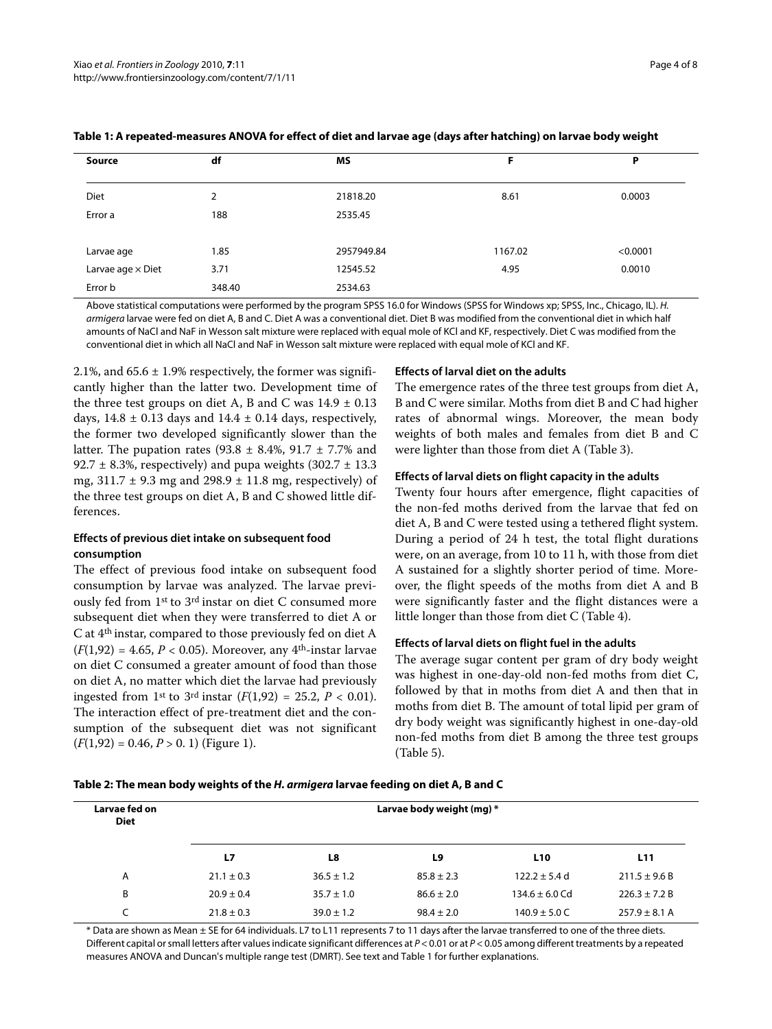| Source                   | df     | <b>MS</b>  | F       | Р        |
|--------------------------|--------|------------|---------|----------|
| Diet                     | 2      | 21818.20   | 8.61    | 0.0003   |
| Error a                  | 188    | 2535.45    |         |          |
| Larvae age               | 1.85   | 2957949.84 | 1167.02 | < 0.0001 |
| Larvae age $\times$ Diet | 3.71   | 12545.52   | 4.95    | 0.0010   |
| Error b                  | 348.40 | 2534.63    |         |          |

#### **Table 1: A repeated-measures ANOVA for effect of diet and larvae age (days after hatching) on larvae body weight**

Above statistical computations were performed by the program SPSS 16.0 for Windows (SPSS for Windows xp; SPSS, Inc., Chicago, IL). H. armigera larvae were fed on diet A, B and C. Diet A was a conventional diet. Diet B was modified from the conventional diet in which half amounts of NaCl and NaF in Wesson salt mixture were replaced with equal mole of KCl and KF, respectively. Diet C was modified from the conventional diet in which all NaCl and NaF in Wesson salt mixture were replaced with equal mole of KCl and KF.

2.1%, and  $65.6 \pm 1.9\%$  respectively, the former was significantly higher than the latter two. Development time of the three test groups on diet A, B and C was  $14.9 \pm 0.13$ days,  $14.8 \pm 0.13$  days and  $14.4 \pm 0.14$  days, respectively, the former two developed significantly slower than the latter. The pupation rates (93.8  $\pm$  8.4%, 91.7  $\pm$  7.7% and 92.7  $\pm$  8.3%, respectively) and pupa weights (302.7  $\pm$  13.3 mg,  $311.7 \pm 9.3$  mg and  $298.9 \pm 11.8$  mg, respectively) of the three test groups on diet A, B and C showed little differences.

## **Effects of previous diet intake on subsequent food consumption**

The effect of previous food intake on subsequent food consumption by larvae was analyzed. The larvae previously fed from 1st to 3rd instar on diet C consumed more subsequent diet when they were transferred to diet A or C at 4th instar, compared to those previously fed on diet A  $(F(1,92) = 4.65, P < 0.05)$ . Moreover, any 4<sup>th</sup>-instar larvae on diet C consumed a greater amount of food than those on diet A, no matter which diet the larvae had previously ingested from 1<sup>st</sup> to 3<sup>rd</sup> instar ( $F(1,92) = 25.2$ ,  $P < 0.01$ ). The interaction effect of pre-treatment diet and the consumption of the subsequent diet was not significant (*F*(1,92) = 0.46, *P* > 0. 1) (Figure [1](#page-4-0)).

#### **Effects of larval diet on the adults**

The emergence rates of the three test groups from diet A, B and C were similar. Moths from diet B and C had higher rates of abnormal wings. Moreover, the mean body weights of both males and females from diet B and C were lighter than those from diet A (Table 3).

#### **Effects of larval diets on flight capacity in the adults**

Twenty four hours after emergence, flight capacities of the non-fed moths derived from the larvae that fed on diet A, B and C were tested using a tethered flight system. During a period of 24 h test, the total flight durations were, on an average, from 10 to 11 h, with those from diet A sustained for a slightly shorter period of time. Moreover, the flight speeds of the moths from diet A and B were significantly faster and the flight distances were a little longer than those from diet C (Table [4](#page-5-0)).

## **Effects of larval diets on flight fuel in the adults**

The average sugar content per gram of dry body weight was highest in one-day-old non-fed moths from diet C, followed by that in moths from diet A and then that in moths from diet B. The amount of total lipid per gram of dry body weight was significantly highest in one-day-old non-fed moths from diet B among the three test groups (Table 5).

|  |  |  | Table 2: The mean body weights of the <i>H. armigera</i> larvae feeding on diet A, B and C |  |
|--|--|--|--------------------------------------------------------------------------------------------|--|
|--|--|--|--------------------------------------------------------------------------------------------|--|

| Larvae fed on<br><b>Diet</b> |                |                | Larvae body weight (mg) * |                    |                   |
|------------------------------|----------------|----------------|---------------------------|--------------------|-------------------|
|                              | L7             | L8             | L9                        | L <sub>10</sub>    | L11               |
| A                            | $21.1 \pm 0.3$ | $36.5 \pm 1.2$ | $85.8 \pm 2.3$            | $122.2 \pm 5.4$ d  | $211.5 \pm 9.6 B$ |
| B                            | $20.9 \pm 0.4$ | $35.7 \pm 1.0$ | $86.6 \pm 2.0$            | $134.6 \pm 6.0$ Cd | $226.3 \pm 7.2 B$ |
|                              | $21.8 \pm 0.3$ | $39.0 \pm 1.2$ | $98.4 \pm 2.0$            | $140.9 \pm 5.0$ C  | $257.9 \pm 8.1$ A |

\* Data are shown as Mean ± SE for 64 individuals. L7 to L11 represents 7 to 11 days after the larvae transferred to one of the three diets. Different capital or small letters after values indicate significant differences at P < 0.01 or at P < 0.05 among different treatments by a repeated measures ANOVA and Duncan's multiple range test (DMRT). See text and Table 1 for further explanations.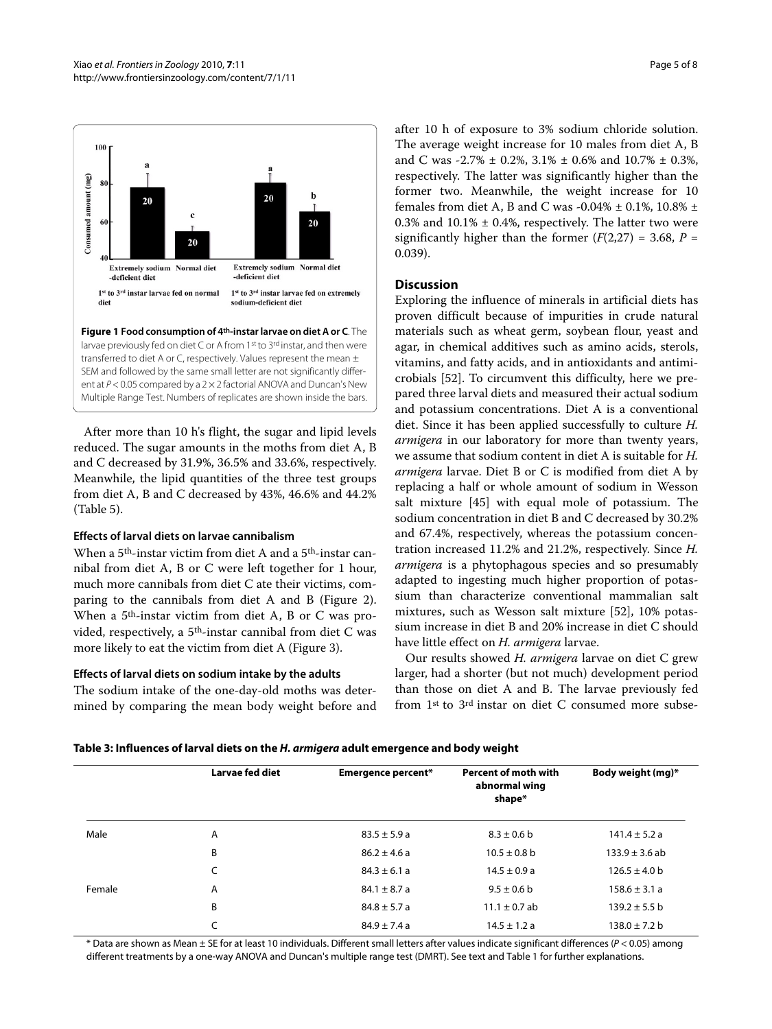<span id="page-4-0"></span>

**Figure 1 Food consumption of 4th-instar larvae on diet A or C**. The larvae previously fed on diet C or A from 1st to 3rd instar, and then were transferred to diet A or C, respectively. Values represent the mean  $\pm$ SEM and followed by the same small letter are not significantly different at  $P < 0.05$  compared by a  $2 \times 2$  factorial ANOVA and Duncan's New Multiple Range Test. Numbers of replicates are shown inside the bars.

After more than 10 h's flight, the sugar and lipid levels reduced. The sugar amounts in the moths from diet A, B and C decreased by 31.9%, 36.5% and 33.6%, respectively. Meanwhile, the lipid quantities of the three test groups from diet A, B and C decreased by 43%, 46.6% and 44.2% (Table 5).

## **Effects of larval diets on larvae cannibalism**

When a 5th-instar victim from diet A and a 5th-instar cannibal from diet A, B or C were left together for 1 hour, much more cannibals from diet C ate their victims, comparing to the cannibals from diet A and B (Figure [2](#page-6-4)). When a 5th-instar victim from diet A, B or C was provided, respectively, a 5th-instar cannibal from diet C was more likely to eat the victim from diet A (Figure [3\)](#page-6-5).

## **Effects of larval diets on sodium intake by the adults**

The sodium intake of the one-day-old moths was determined by comparing the mean body weight before and after 10 h of exposure to 3% sodium chloride solution. The average weight increase for 10 males from diet A, B and C was -2.7% ± 0.2%, 3.1% ± 0.6% and 10.7% ± 0.3%, respectively. The latter was significantly higher than the former two. Meanwhile, the weight increase for 10 females from diet A, B and C was -0.04%  $\pm$  0.1%, 10.8%  $\pm$ 0.3% and  $10.1\% \pm 0.4\%$ , respectively. The latter two were significantly higher than the former  $(F(2,27) = 3.68, P =$ 0.039).

## **Discussion**

Exploring the influence of minerals in artificial diets has proven difficult because of impurities in crude natural materials such as wheat germ, soybean flour, yeast and agar, in chemical additives such as amino acids, sterols, vitamins, and fatty acids, and in antioxidants and antimicrobials [\[52](#page-7-34)]. To circumvent this difficulty, here we prepared three larval diets and measured their actual sodium and potassium concentrations. Diet A is a conventional diet. Since it has been applied successfully to culture *H. armigera* in our laboratory for more than twenty years, we assume that sodium content in diet A is suitable for *H. armigera* larvae. Diet B or C is modified from diet A by replacing a half or whole amount of sodium in Wesson salt mixture [[45\]](#page-7-27) with equal mole of potassium. The sodium concentration in diet B and C decreased by 30.2% and 67.4%, respectively, whereas the potassium concentration increased 11.2% and 21.2%, respectively. Since *H. armigera* is a phytophagous species and so presumably adapted to ingesting much higher proportion of potassium than characterize conventional mammalian salt mixtures, such as Wesson salt mixture [[52](#page-7-34)], 10% potassium increase in diet B and 20% increase in diet C should have little effect on *H. armigera* larvae.

Our results showed *H. armigera* larvae on diet C grew larger, had a shorter (but not much) development period than those on diet A and B. The larvae previously fed from 1st to 3rd instar on diet C consumed more subse-

| Table 3: Influences of larval diets on the <i>H. armigera</i> adult emergence and body weight |  |  |  |
|-----------------------------------------------------------------------------------------------|--|--|--|
|                                                                                               |  |  |  |

|        | Larvae fed diet | <b>Emergence percent*</b> | <b>Percent of moth with</b><br>abnormal wing<br>shape* | Body weight (mg)*  |
|--------|-----------------|---------------------------|--------------------------------------------------------|--------------------|
| Male   | A               | $83.5 \pm 5.9 a$          | $8.3 \pm 0.6$ b                                        | $141.4 \pm 5.2 a$  |
|        | B               | $86.2 \pm 4.6$ a          | $10.5 \pm 0.8$ b                                       | $133.9 \pm 3.6$ ab |
|        | C               | $84.3 \pm 6.1 a$          | $14.5 \pm 0.9 a$                                       | $126.5 \pm 4.0$ b  |
| Female | A               | $84.1 \pm 8.7$ a          | $9.5 \pm 0.6$ b                                        | $158.6 \pm 3.1 a$  |
|        | B               | $84.8 \pm 5.7 a$          | $11.1 \pm 0.7$ ab                                      | $139.2 \pm 5.5$ b  |
|        | C               | $84.9 \pm 7.4 a$          | $14.5 \pm 1.2 a$                                       | $138.0 \pm 7.2 b$  |

\* Data are shown as Mean ± SE for at least 10 individuals. Different small letters after values indicate significant differences (P < 0.05) among different treatments by a one-way ANOVA and Duncan's multiple range test (DMRT). See text and Table 1 for further explanations.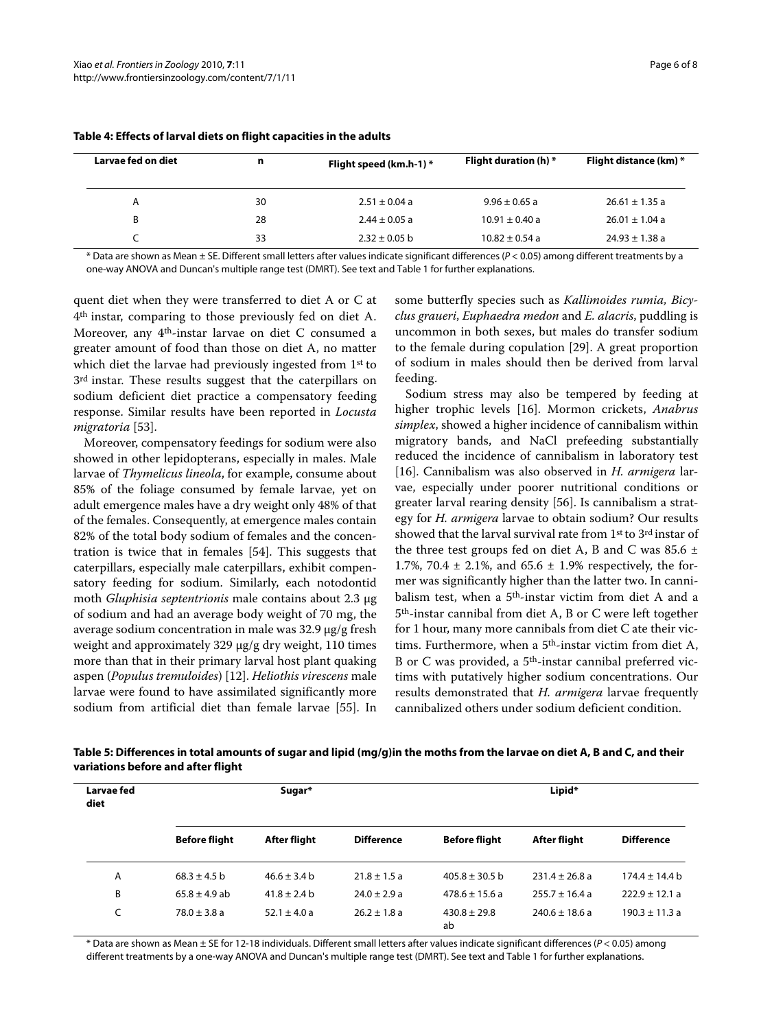| Larvae fed on diet | n  | Flight speed (km.h-1) * | <b>Flight duration (h) *</b> | Flight distance (km) * |
|--------------------|----|-------------------------|------------------------------|------------------------|
| Α                  | 30 | $2.51 \pm 0.04$ a       | $9.96 \pm 0.65$ a            | $26.61 \pm 1.35$ a     |
| B                  | 28 | $2.44 \pm 0.05$ a       | $10.91 \pm 0.40$ a           | $26.01 \pm 1.04$ a     |
|                    | 33 | $2.32 \pm 0.05$ b       | $10.82 \pm 0.54$ a           | $24.93 \pm 1.38$ a     |

<span id="page-5-0"></span>**Table 4: Effects of larval diets on flight capacities in the adults**

\* Data are shown as Mean ± SE. Different small letters after values indicate significant differences (P < 0.05) among different treatments by a one-way ANOVA and Duncan's multiple range test (DMRT). See text and Table 1 for further explanations.

quent diet when they were transferred to diet A or C at 4th instar, comparing to those previously fed on diet A. Moreover, any 4th-instar larvae on diet C consumed a greater amount of food than those on diet A, no matter which diet the larvae had previously ingested from 1st to 3rd instar. These results suggest that the caterpillars on sodium deficient diet practice a compensatory feeding response. Similar results have been reported in *Locusta migratoria* [[53\]](#page-7-35).

Moreover, compensatory feedings for sodium were also showed in other lepidopterans, especially in males. Male larvae of *Thymelicus lineola*, for example, consume about 85% of the foliage consumed by female larvae, yet on adult emergence males have a dry weight only 48% of that of the females. Consequently, at emergence males contain 82% of the total body sodium of females and the concentration is twice that in females [[54\]](#page-7-36). This suggests that caterpillars, especially male caterpillars, exhibit compensatory feeding for sodium. Similarly, each notodontid moth *Gluphisia septentrionis* male contains about 2.3 μg of sodium and had an average body weight of 70 mg, the average sodium concentration in male was 32.9 μg/g fresh weight and approximately 329 μg/g dry weight, 110 times more than that in their primary larval host plant quaking aspen (*Populus tremuloides*) [[12\]](#page-7-4). *Heliothis virescens* male larvae were found to have assimilated significantly more sodium from artificial diet than female larvae [\[55\]](#page-7-37). In

some butterfly species such as *Kallimoides rumia, Bicyclus graueri*, *Euphaedra medon* and *E. alacris*, puddling is uncommon in both sexes, but males do transfer sodium to the female during copulation [[29\]](#page-7-22). A great proportion of sodium in males should then be derived from larval feeding.

Sodium stress may also be tempered by feeding at higher trophic levels [[16\]](#page-7-7). Mormon crickets, *Anabrus simplex*, showed a higher incidence of cannibalism within migratory bands, and NaCl prefeeding substantially reduced the incidence of cannibalism in laboratory test [[16\]](#page-7-7). Cannibalism was also observed in *H. armigera* larvae, especially under poorer nutritional conditions or greater larval rearing density [\[56](#page-7-38)]. Is cannibalism a strategy for *H. armigera* larvae to obtain sodium? Our results showed that the larval survival rate from 1st to 3rd instar of the three test groups fed on diet A, B and C was  $85.6 \pm$ 1.7%, 70.4  $\pm$  2.1%, and 65.6  $\pm$  1.9% respectively, the former was significantly higher than the latter two. In cannibalism test, when a 5th-instar victim from diet A and a 5th-instar cannibal from diet A, B or C were left together for 1 hour, many more cannibals from diet C ate their victims. Furthermore, when a 5<sup>th</sup>-instar victim from diet A, B or C was provided, a 5<sup>th</sup>-instar cannibal preferred victims with putatively higher sodium concentrations. Our results demonstrated that *H. armigera* larvae frequently cannibalized others under sodium deficient condition.

| Larvae fed<br>diet | Sugar*               |                  |                   | Lipid*                 |                    |                    |
|--------------------|----------------------|------------------|-------------------|------------------------|--------------------|--------------------|
|                    | <b>Before flight</b> | After flight     | <b>Difference</b> | <b>Before flight</b>   | After flight       | <b>Difference</b>  |
| Α                  | $68.3 \pm 4.5$ b     | $46.6 \pm 3.4$ b | $21.8 \pm 1.5$ a  | $405.8 \pm 30.5$ b     | $231.4 \pm 26.8$ a | $174.4 \pm 14.4$ b |
| B                  | $65.8 \pm 4.9$ ab    | $41.8 \pm 2.4$ b | $24.0 \pm 2.9 a$  | $478.6 \pm 15.6$ a     | $255.7 \pm 16.4$ a | $222.9 \pm 12.1$ a |
| C                  | $78.0 \pm 3.8 a$     | 52.1 $\pm$ 4.0 a | $26.2 \pm 1.8$ a  | $430.8 \pm 29.8$<br>ab | $240.6 \pm 18.6$ a | $190.3 \pm 11.3$ a |

**Table 5: Differences in total amounts of sugar and lipid (mg/g)in the moths from the larvae on diet A, B and C, and their variations before and after flight**

\* Data are shown as Mean ± SE for 12-18 individuals. Different small letters after values indicate significant differences (P < 0.05) among different treatments by a one-way ANOVA and Duncan's multiple range test (DMRT). See text and Table 1 for further explanations.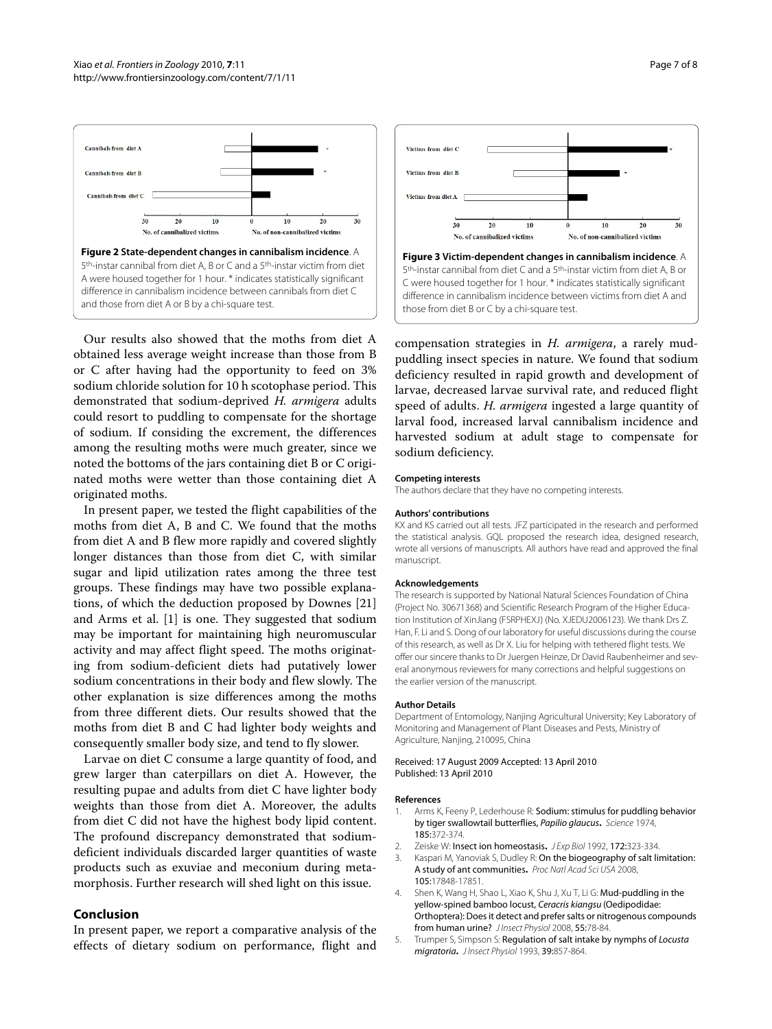<span id="page-6-4"></span>

Our results also showed that the moths from diet A obtained less average weight increase than those from B or C after having had the opportunity to feed on 3% sodium chloride solution for 10 h scotophase period. This demonstrated that sodium-deprived *H. armigera* adults could resort to puddling to compensate for the shortage of sodium. If considing the excrement, the differences among the resulting moths were much greater, since we noted the bottoms of the jars containing diet B or C originated moths were wetter than those containing diet A originated moths.

In present paper, we tested the flight capabilities of the moths from diet A, B and C. We found that the moths from diet A and B flew more rapidly and covered slightly longer distances than those from diet C, with similar sugar and lipid utilization rates among the three test groups. These findings may have two possible explanations, of which the deduction proposed by Downes [[21](#page-7-13)] and Arms et al. [\[1](#page-6-0)] is one. They suggested that sodium may be important for maintaining high neuromuscular activity and may affect flight speed. The moths originating from sodium-deficient diets had putatively lower sodium concentrations in their body and flew slowly. The other explanation is size differences among the moths from three different diets. Our results showed that the moths from diet B and C had lighter body weights and consequently smaller body size, and tend to fly slower.

Larvae on diet C consume a large quantity of food, and grew larger than caterpillars on diet A. However, the resulting pupae and adults from diet C have lighter body weights than those from diet A. Moreover, the adults from diet C did not have the highest body lipid content. The profound discrepancy demonstrated that sodiumdeficient individuals discarded larger quantities of waste products such as exuviae and meconium during metamorphosis. Further research will shed light on this issue.

## **Conclusion**

In present paper, we report a comparative analysis of the effects of dietary sodium on performance, flight and

<span id="page-6-5"></span>

compensation strategies in *H. armigera*, a rarely mudpuddling insect species in nature. We found that sodium deficiency resulted in rapid growth and development of larvae, decreased larvae survival rate, and reduced flight speed of adults. *H. armigera* ingested a large quantity of larval food, increased larval cannibalism incidence and harvested sodium at adult stage to compensate for sodium deficiency.

#### **Competing interests**

The authors declare that they have no competing interests.

#### **Authors' contributions**

KX and KS carried out all tests. JFZ participated in the research and performed the statistical analysis. GQL proposed the research idea, designed research, wrote all versions of manuscripts. All authors have read and approved the final manuscript.

#### **Acknowledgements**

The research is supported by National Natural Sciences Foundation of China (Project No. 30671368) and Scientific Research Program of the Higher Education Institution of XinJiang (FSRPHEXJ) (No. XJEDU2006123). We thank Drs Z. Han, F. Li and S. Dong of our laboratory for useful discussions during the course of this research, as well as Dr X. Liu for helping with tethered flight tests. We offer our sincere thanks to Dr Juergen Heinze, Dr David Raubenheimer and several anonymous reviewers for many corrections and helpful suggestions on the earlier version of the manuscript.

#### **Author Details**

Department of Entomology, Nanjing Agricultural University; Key Laboratory of Monitoring and Management of Plant Diseases and Pests, Ministry of Agriculture, Nanjing, 210095, China

#### Received: 17 August 2009 Accepted: 13 April 2010 Published: 13 April 2010

#### **References**

- <span id="page-6-0"></span>1. Arms K, Feeny P, Lederhouse R: Sodium: stimulus for puddling behavior by tiger swallowtail butterflies, Papilio glaucus**.** Science 1974, 185:372-374.
- 2. Zeiske W: Insect ion homeostasis**.** J Exp Biol 1992, 172:323-334.
- <span id="page-6-3"></span>3. Kaspari M, Yanoviak S, Dudley R: On the biogeography of salt limitation: A study of ant communities**[.](http://www.ncbi.nlm.nih.gov/entrez/query.fcgi?cmd=Retrieve&db=PubMed&dopt=Abstract&list_uids=19004798)** Proc Natl Acad Sci USA 2008, 105:17848-17851.
- <span id="page-6-1"></span>4. Shen K, Wang H, Shao L, Xiao K, Shu J, Xu T, Li G: Mud-puddling in the yellow-spined bamboo locust, Ceracris kiangsu (Oedipodidae: Orthoptera): Does it detect and prefer salts or nitrogenous compounds fromhuman urine? JInsect Physiol 2008, 55:78-84
- <span id="page-6-2"></span>5. Trumper S, Simpson S: Regulation of salt intake by nymphs of Locusta migratoria**.** J Insect Physiol 1993, 39:857-864.